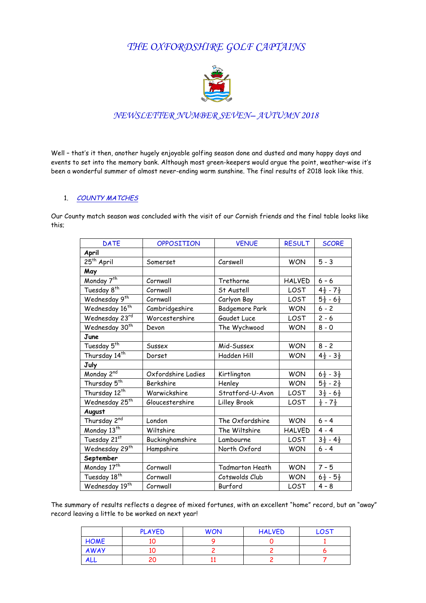# *THE OXFORDSHIRE GOLF CAPTAINS*



## *NEWSLETTER NUMBER SEVEN– AUTUMN 2018*

Well – that's it then, another hugely enjoyable golfing season done and dusted and many happy days and events to set into the memory bank. Although most green-keepers would argue the point, weather-wise it's been a wonderful summer of almost never-ending warm sunshine. The final results of 2018 look like this.

#### 1. COUNTY MATCHES

Our County match season was concluded with the visit of our Cornish friends and the final table looks like this;

| <b>DATE</b>                              | OPPOSITION         | <b>VENUE</b>     | <b>RESULT</b> | <b>SCORE</b>                     |
|------------------------------------------|--------------------|------------------|---------------|----------------------------------|
| April                                    |                    |                  |               |                                  |
| $\overline{{}^{25}}$ <sup>th</sup> April | Somerset           | Carswell         | <b>WON</b>    | $5 - 3$                          |
| May                                      |                    |                  |               |                                  |
| Monday 7 <sup>th</sup>                   | Cornwall           | Trethorne        | <b>HALVED</b> | $6 - 6$                          |
| Tuesday 8 <sup>th</sup>                  | Cornwall           | St Austell       | LOST          | $4\frac{1}{2}$ - $7\frac{1}{2}$  |
| Wednesday 9th                            | Cornwall           | Carlyon Bay      | LOST          | $5\frac{1}{2}$ - 6 $\frac{1}{2}$ |
| Wednesday 16 <sup>th</sup>               | Cambridgeshire     | Badgemore Park   | <b>WON</b>    | $6 - 2$                          |
| Wednesday 23rd                           | Worcestershire     | Gaudet Luce      | LOST          | $2 - 6$                          |
| Wednesday 30 <sup>th</sup>               | Devon              | The Wychwood     | <b>WON</b>    | $8 - 0$                          |
| June                                     |                    |                  |               |                                  |
| Tuesday 5 <sup>th</sup>                  | Sussex             | Mid-Sussex       | <b>WON</b>    | $8 - 2$                          |
| Thursday 14 <sup>th</sup>                | Dorset             | Hadden Hill      | <b>WON</b>    | $4\frac{1}{2} - 3\frac{1}{2}$    |
| July                                     |                    |                  |               |                                  |
| Monday 2nd                               | Oxfordshire Ladies | Kirtlington      | <b>WON</b>    | $6\frac{1}{2} - 3\frac{1}{2}$    |
| Thursday 5 <sup>th</sup>                 | Berkshire          | Henley           | <b>WON</b>    | $5\frac{1}{2}$ - $2\frac{1}{2}$  |
| Thursday 12 <sup>th</sup>                | Warwickshire       | Stratford-U-Avon | LOST          | $3\frac{1}{2} - 6\frac{1}{2}$    |
| Wednesday 25 <sup>th</sup>               | Gloucestershire    | Lilley Brook     | LOST          | $\frac{1}{2}$ - $7\frac{1}{2}$   |
| August                                   |                    |                  |               |                                  |
| Thursday 2 <sup>nd</sup>                 | London             | The Oxfordshire  | <b>WON</b>    | $6 - 4$                          |
| Monday 13 <sup>th</sup>                  | Wiltshire          | The Wiltshire    | <b>HALVED</b> | $4 - 4$                          |
| Tuesday 21st                             | Buckinghamshire    | Lambourne        | LOST          | $3\frac{1}{2}$ - $4\frac{1}{2}$  |
| Wednesday 29 <sup>th</sup>               | Hampshire          | North Oxford     | <b>WON</b>    | $6 - 4$                          |
| September                                |                    |                  |               |                                  |
| Monday 17th                              | Cornwall           | Tadmarton Heath  | <b>WON</b>    | $7 - 5$                          |
| Tuesday 18 <sup>th</sup>                 | Cornwall           | Cotswolds Club   | <b>WON</b>    | $6\frac{1}{2}$ - $5\frac{1}{2}$  |
| Wednesday 19th                           | Cornwall           | Burford          | LOST          | $4 - 8$                          |

The summary of results reflects a degree of mixed fortunes, with an excellent "home" record, but an "away" record leaving a little to be worked on next year!

|             | <b>PLAYED</b> | <b>WON</b> | <b>HALVED</b> | LOST |
|-------------|---------------|------------|---------------|------|
| <b>HOME</b> |               |            |               |      |
| AWAY        |               |            |               |      |
| <b>ALL</b>  |               |            |               |      |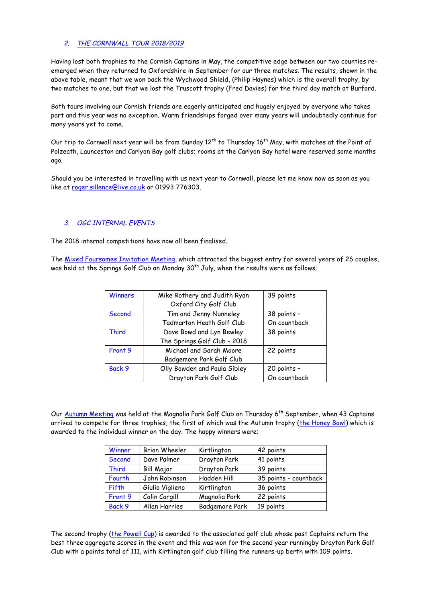### 2. THE CORNWALL TOUR 2018/2019

Having lost both trophies to the Cornish Captains in May, the competitive edge between our two counties reemerged when they returned to Oxfordshire in September for our three matches. The results, shown in the above table, meant that we won back the Wychwood Shield, (Philip Haynes) which is the overall trophy, by two matches to one, but that we lost the Truscott trophy (Fred Davies) for the third day match at Burford.

Both tours involving our Cornish friends are eagerly anticipated and hugely enjoyed by everyone who takes part and this year was no exception. Warm friendships forged over many years will undoubtedly continue for many years yet to come.

Our trip to Cornwall next year will be from Sunday 12<sup>th</sup> to Thursday 16<sup>th</sup> May, with matches at the Point of Polzeath, Launceston and Carlyon Bay golf clubs; rooms at the Carlyon Bay hotel were reserved some months ago.

Should you be interested in travelling with us next year to Cornwall, please let me know now as soon as you like at roger.sillence@live.co.uk or 01993 776303.

#### 3. OGC INTERNAL EVENTS

The 2018 internal competitions have now all been finalised.

The Mixed Foursomes Invitation Meeting, which attracted the biggest entry for several years of 26 couples, was held at the Springs Golf Club on Monday  $30<sup>th</sup>$  July, when the results were as follows;

| Winners      | Mike Rothery and Judith Ryan<br>Oxford City Golf Club | 39 points    |
|--------------|-------------------------------------------------------|--------------|
| Second       | Tim and Jenny Nunneley                                | 38 points -  |
|              | Tadmarton Heath Golf Club                             | On countback |
| <b>Third</b> | Dave Bowd and Lyn Bewley                              | 38 points    |
|              | The Springs Golf Club - 2018                          |              |
| Front 9      | Michael and Sarah Moore                               | 22 points    |
|              | Badgemore Park Golf Club                              |              |
| Back 9       | Olly Bowden and Paula Sibley                          | 20 points -  |
|              | Drayton Park Golf Club                                | On countback |

Our Autumn Meeting was held at the Magnolia Park Golf Club on Thursday 6<sup>th</sup> September, when 43 Captains arrived to compete for three trophies, the first of which was the Autumn trophy (the Honey Bowl) which is awarded to the individual winner on the day. The happy winners were;

| Winner       | Brian Wheeler   | Kirtlington    | 42 points             |
|--------------|-----------------|----------------|-----------------------|
| Second       | Dave Palmer     | Drayton Park   | 41 points             |
| <b>Third</b> | Bill Major      | Drayton Park   | 39 points             |
| Fourth       | John Robinson   | Hadden Hill    | 35 points - countback |
| Fifth        | Giulio Viglieno | Kirtlington    | 36 points             |
| Front 9      | Colin Cargill   | Magnolia Park  | 22 points             |
| Back 9       | Allan Harries   | Badgemore Park | 19 points             |

The second trophy (the Powell Cup) is awarded to the associated golf club whose past Captains return the best three aggregate scores in the event and this was won for the second year runningby Drayton Park Golf Club with a points total of 111, with Kirtlington golf club filling the runners-up berth with 109 points.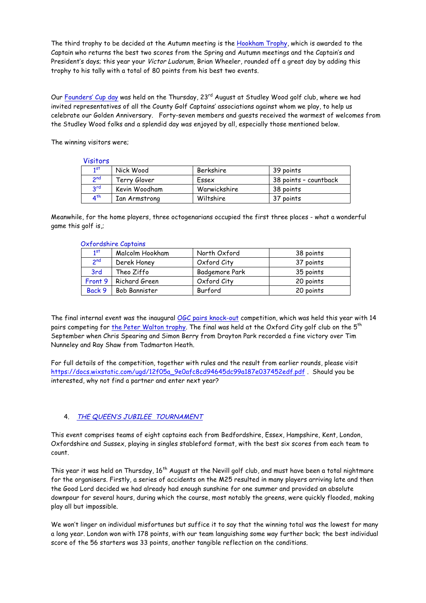The third trophy to be decided at the Autumn meeting is the Hookham Trophy, which is awarded to the Captain who returns the best two scores from the Spring and Autumn meetings and the Captain's and President's days; this year your Victor Ludorum, Brian Wheeler, rounded off a great day by adding this trophy to his tally with a total of 80 points from his best two events.

Our Founders' Cup day was held on the Thursday, 23<sup>rd</sup> August at Studley Wood golf club, where we had invited representatives of all the County Golf Captains' associations against whom we play, to help us celebrate our Golden Anniversary. Forty-seven members and guests received the warmest of welcomes from the Studley Wood folks and a splendid day was enjoyed by all, especially those mentioned below.

The winning visitors were;

#### Visitors

| Nick Wood     | Berkshire    | 39 points             |  |  |  |
|---------------|--------------|-----------------------|--|--|--|
| Terrv Glover  | Essex        | 38 points – countback |  |  |  |
| Kevin Woodham | Warwickshire | 38 points             |  |  |  |
| Ian Armstrong | Wiltshire    | 37 points             |  |  |  |
|               |              |                       |  |  |  |

Meanwhile, for the home players, three octogenarians occupied the first three places - what a wonderful game this golf is,;

| Oxfordshire Captains |                 |                 |                |           |  |
|----------------------|-----------------|-----------------|----------------|-----------|--|
|                      | 1 <sup>st</sup> | Malcolm Hookham | North Oxford   | 38 points |  |
|                      | 2 <sup>nd</sup> | Derek Honey     | Oxford City    | 37 points |  |
|                      | 3rd             | Theo Ziffo      | Badgemore Park | 35 points |  |
|                      | Front 9         | Richard Green   | Oxford City    | 20 points |  |
|                      | Back 9          | Bob Bannister   | Burford        | 20 points |  |

The final internal event was the inaugural OGC pairs knock-out competition, which was held this year with 14 pairs competing for the Peter Walton trophy. The final was held at the Oxford City golf club on the 5<sup>th</sup> September when Chris Spearing and Simon Berry from Drayton Park recorded a fine victory over Tim Nunneley and Ray Shaw from Tadmarton Heath.

For full details of the competition, together with rules and the result from earlier rounds, please visit https://docs.wixstatic.com/ugd/12f05a\_9e0afc8cd94645dc99a187e037452edf.pdf . Should you be interested, why not find a partner and enter next year?

## 4. THE QUEEN'S JUBILEE TOURNAMENT

This event comprises teams of eight captains each from Bedfordshire, Essex, Hampshire, Kent, London, Oxfordshire and Sussex, playing in singles stableford format, with the best six scores from each team to count.

This year it was held on Thursday, 16<sup>th</sup> August at the Nevill golf club, and must have been a total nightmare for the organisers. Firstly, a series of accidents on the M25 resulted in many players arriving late and then the Good Lord decided we had already had enough sunshine for one summer and provided an absolute downpour for several hours, during which the course, most notably the greens, were quickly flooded, making play all but impossible.

We won't linger on individual misfortunes but suffice it to say that the winning total was the lowest for many a long year. London won with 178 points, with our team languishing some way further back; the best individual score of the 56 starters was 33 points, another tangible reflection on the conditions.